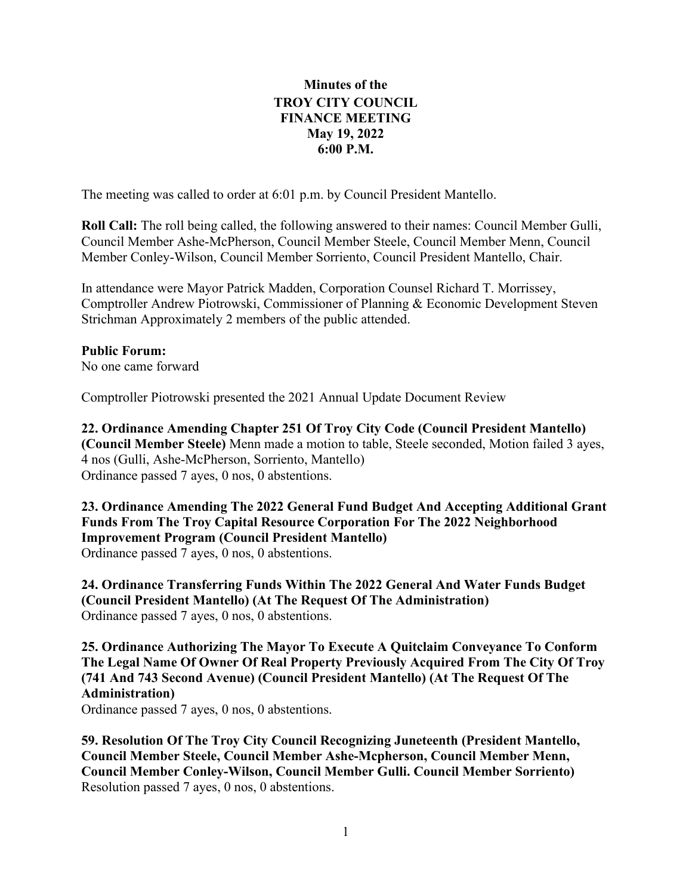## **Minutes of the TROY CITY COUNCIL FINANCE MEETING May 19, 2022 6:00 P.M.**

The meeting was called to order at 6:01 p.m. by Council President Mantello.

**Roll Call:** The roll being called, the following answered to their names: Council Member Gulli, Council Member Ashe-McPherson, Council Member Steele, Council Member Menn, Council Member Conley-Wilson, Council Member Sorriento, Council President Mantello, Chair.

In attendance were Mayor Patrick Madden, Corporation Counsel Richard T. Morrissey, Comptroller Andrew Piotrowski, Commissioner of Planning & Economic Development Steven Strichman Approximately 2 members of the public attended.

**Public Forum:** No one came forward

Comptroller Piotrowski presented the 2021 Annual Update Document Review

**22. Ordinance Amending Chapter 251 Of Troy City Code (Council President Mantello) (Council Member Steele)** Menn made a motion to table, Steele seconded, Motion failed 3 ayes, 4 nos (Gulli, Ashe-McPherson, Sorriento, Mantello) Ordinance passed 7 ayes, 0 nos, 0 abstentions.

**23. Ordinance Amending The 2022 General Fund Budget And Accepting Additional Grant Funds From The Troy Capital Resource Corporation For The 2022 Neighborhood Improvement Program (Council President Mantello)** Ordinance passed 7 ayes, 0 nos, 0 abstentions.

**24. Ordinance Transferring Funds Within The 2022 General And Water Funds Budget (Council President Mantello) (At The Request Of The Administration)** Ordinance passed 7 ayes, 0 nos, 0 abstentions.

**25. Ordinance Authorizing The Mayor To Execute A Quitclaim Conveyance To Conform The Legal Name Of Owner Of Real Property Previously Acquired From The City Of Troy (741 And 743 Second Avenue) (Council President Mantello) (At The Request Of The Administration)**

Ordinance passed 7 ayes, 0 nos, 0 abstentions.

**59. Resolution Of The Troy City Council Recognizing Juneteenth (President Mantello, Council Member Steele, Council Member Ashe-Mcpherson, Council Member Menn, Council Member Conley-Wilson, Council Member Gulli. Council Member Sorriento)**  Resolution passed 7 ayes, 0 nos, 0 abstentions.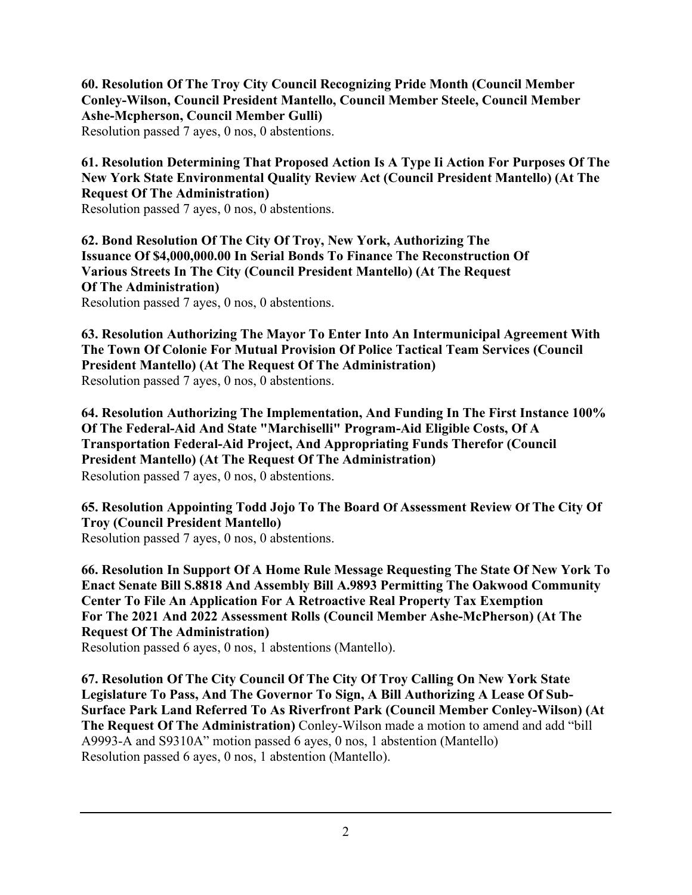**60. Resolution Of The Troy City Council Recognizing Pride Month (Council Member Conley-Wilson, Council President Mantello, Council Member Steele, Council Member Ashe-Mcpherson, Council Member Gulli)**

Resolution passed 7 ayes, 0 nos, 0 abstentions.

**61. Resolution Determining That Proposed Action Is A Type Ii Action For Purposes Of The New York State Environmental Quality Review Act (Council President Mantello) (At The Request Of The Administration)**

Resolution passed 7 ayes, 0 nos, 0 abstentions.

**62. Bond Resolution Of The City Of Troy, New York, Authorizing The Issuance Of \$4,000,000.00 In Serial Bonds To Finance The Reconstruction Of Various Streets In The City (Council President Mantello) (At The Request Of The Administration)** Resolution passed 7 ayes, 0 nos, 0 abstentions.

**63. Resolution Authorizing The Mayor To Enter Into An Intermunicipal Agreement With The Town Of Colonie For Mutual Provision Of Police Tactical Team Services (Council President Mantello) (At The Request Of The Administration)** Resolution passed 7 ayes, 0 nos, 0 abstentions.

**64. Resolution Authorizing The Implementation, And Funding In The First Instance 100% Of The Federal-Aid And State "Marchiselli" Program-Aid Eligible Costs, Of A Transportation Federal-Aid Project, And Appropriating Funds Therefor (Council President Mantello) (At The Request Of The Administration)** Resolution passed 7 ayes, 0 nos, 0 abstentions.

**65. Resolution Appointing Todd Jojo To The Board Of Assessment Review Of The City Of Troy (Council President Mantello)**

Resolution passed 7 ayes, 0 nos, 0 abstentions.

**66. Resolution In Support Of A Home Rule Message Requesting The State Of New York To Enact Senate Bill S.8818 And Assembly Bill A.9893 Permitting The Oakwood Community Center To File An Application For A Retroactive Real Property Tax Exemption For The 2021 And 2022 Assessment Rolls (Council Member Ashe-McPherson) (At The Request Of The Administration)**

Resolution passed 6 ayes, 0 nos, 1 abstentions (Mantello).

**67. Resolution Of The City Council Of The City Of Troy Calling On New York State Legislature To Pass, And The Governor To Sign, A Bill Authorizing A Lease Of Sub-Surface Park Land Referred To As Riverfront Park (Council Member Conley-Wilson) (At The Request Of The Administration)** Conley-Wilson made a motion to amend and add "bill A9993-A and S9310A" motion passed 6 ayes, 0 nos, 1 abstention (Mantello) Resolution passed 6 ayes, 0 nos, 1 abstention (Mantello).